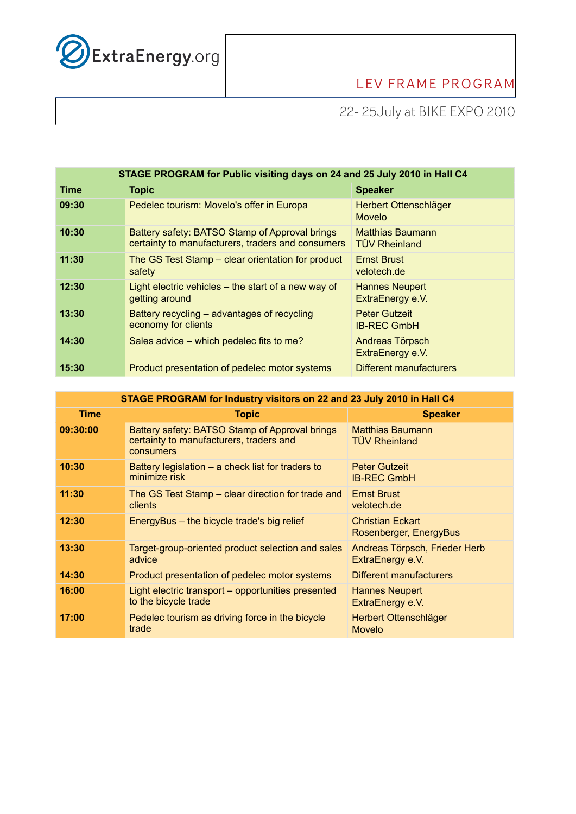

## LEV FRAME PROGRAM

## 22- 25July at BIKE EXPO 2010

| STAGE PROGRAM for Public visiting days on 24 and 25 July 2010 in Hall C4 |                                                                                                     |                                                 |  |
|--------------------------------------------------------------------------|-----------------------------------------------------------------------------------------------------|-------------------------------------------------|--|
| Time                                                                     | <b>Topic</b>                                                                                        | <b>Speaker</b>                                  |  |
| 09:30                                                                    | Pedelec tourism: Movelo's offer in Europa                                                           | Herbert Ottenschläger<br><b>Movelo</b>          |  |
| 10:30                                                                    | Battery safety: BATSO Stamp of Approval brings<br>certainty to manufacturers, traders and consumers | <b>Matthias Baumann</b><br><b>TÜV Rheinland</b> |  |
| 11:30                                                                    | The GS Test Stamp - clear orientation for product<br>safety                                         | <b>Ernst Brust</b><br>velotech.de               |  |
| 12:30                                                                    | Light electric vehicles – the start of a new way of<br>getting around                               | <b>Hannes Neupert</b><br>ExtraEnergy e.V.       |  |
| 13:30                                                                    | Battery recycling – advantages of recycling<br>economy for clients                                  | <b>Peter Gutzeit</b><br><b>IB-REC GmbH</b>      |  |
| 14:30                                                                    | Sales advice – which pedelec fits to me?                                                            | Andreas Törpsch<br>ExtraEnergy e.V.             |  |
| 15:30                                                                    | Product presentation of pedelec motor systems                                                       | Different manufacturers                         |  |

| STAGE PROGRAM for Industry visitors on 22 and 23 July 2010 in Hall C4 |                                                                                                        |                                                   |  |
|-----------------------------------------------------------------------|--------------------------------------------------------------------------------------------------------|---------------------------------------------------|--|
| <b>Time</b>                                                           | <b>Topic</b>                                                                                           | <b>Speaker</b>                                    |  |
| 09:30:00                                                              | Battery safety: BATSO Stamp of Approval brings<br>certainty to manufacturers, traders and<br>consumers | <b>Matthias Baumann</b><br><b>TÜV Rheinland</b>   |  |
| 10:30                                                                 | Battery legislation – a check list for traders to<br>minimize risk                                     | <b>Peter Gutzeit</b><br><b>IB-REC GmbH</b>        |  |
| 11:30                                                                 | The GS Test Stamp – clear direction for trade and<br>clients                                           | <b>Ernst Brust</b><br>velotech.de                 |  |
| 12:30                                                                 | EnergyBus – the bicycle trade's big relief                                                             | <b>Christian Eckart</b><br>Rosenberger, EnergyBus |  |
| 13:30                                                                 | Target-group-oriented product selection and sales<br>advice                                            | Andreas Törpsch, Frieder Herb<br>ExtraEnergy e.V. |  |
| 14:30                                                                 | Product presentation of pedelec motor systems                                                          | Different manufacturers                           |  |
| 16:00                                                                 | Light electric transport – opportunities presented<br>to the bicycle trade                             | <b>Hannes Neupert</b><br>ExtraEnergy e.V.         |  |
| 17:00                                                                 | Pedelec tourism as driving force in the bicycle<br>trade                                               | Herbert Ottenschläger<br><b>Movelo</b>            |  |